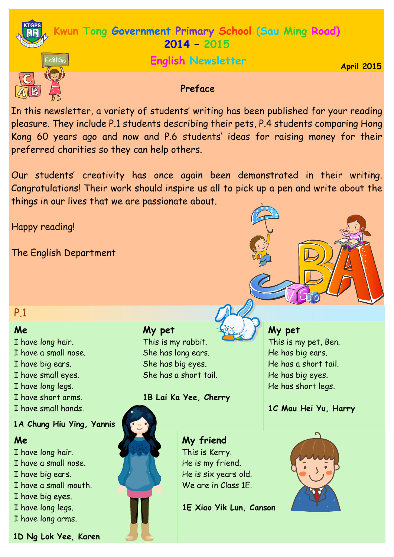

pleasure. They include P.1 students describing their pets, P.4 students comparing Hong Kong 60 years ago and now and P.6 students' ideas for raising money for their preferred charities so they can help others.

Our students' creativity has once again been demonstrated in their writing. Congratulations! Their work should inspire us all to pick up a pen and write about the things in our lives that we are passionate about.

Happy reading!

The English Department

P.1

# **Me**

- I have long hair.
- I have a small nose.
- I have big ears.
- I have small eyes.
- I have long legs.
- I have short arms.
- I have small hands.

# **1A Chung Hiu Ying, Yannis**

# **Me**

- I have long hair.
- I have a small nose.
- I have big ears.
- I have a small mouth.
- I have big eyes.
- I have long legs.
- I have long arms.

**1D Ng Lok Yee, Karen**

# **My pet**

This is my rabbit. She has long ears. She has big eyes. She has a short tail.

# **1B Lai Ka Yee, Cherry**



**My friend** This is Kerry. He is my friend. He is six years old. We are in Class 1F.

**1E Xiao Yik Lun, Canson**



**1C Mau Hei Yu, Harry** 

**My pet**

This is my pet, Ben. He has big ears. He has a short tail. He has big eyes. He has short legs.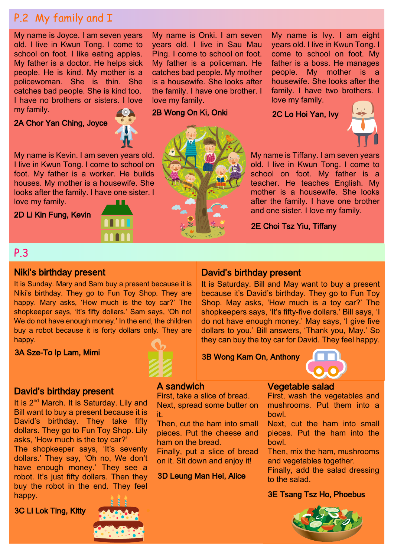# P.2 My family and I

My name is Joyce. I am seven years old. I live in Kwun Tong. I come to school on foot. I like eating apples. My father is a doctor. He helps sick people. He is kind. My mother is a policewoman. She is thin. She catches bad people. She is kind too. I have no brothers or sisters. I love my family.

# 2A Chor Yan Ching, Joyce



My name is Kevin. I am seven years old. I live in Kwun Tong. I come to school on foot. My father is a worker. He builds houses. My mother is a housewife. She looks after the family. I have one sister. I love my family.

2D Li Kin Fung, Kevin





My name is Onki. I am seven years old. I live in Sau Mau Ping. I come to school on foot. My father is a policeman. He catches bad people. My mother is a housewife. She looks after the family. I have one brother. I

love my family.

2B Wong On Ki, Onki

My name is Ivy. I am eight years old. I live in Kwun Tong. I come to school on foot. My father is a boss. He manages people. My mother is a housewife. She looks after the family. I have two brothers. I love my family.

2C Lo Hoi Yan, Ivy



My name is Tiffany. I am seven years old. I live in Kwun Tong. I come to school on foot. My father is a teacher. He teaches English. My mother is a housewife. She looks after the family. I have one brother and one sister. I love my family.

2E Choi Tsz Yiu, Tiffany

# P.3

## Niki's birthday present

It is Sunday. Mary and Sam buy a present because it is Niki's birthday. They go to Fun Toy Shop. They are happy. Mary asks, 'How much is the toy car?' The shopkeeper says, 'It's fifty dollars.' Sam says, 'Oh no! We do not have enough money.' In the end, the children buy a robot because it is forty dollars only. They are happy.

3A Sze-To Ip Lam, Mimi



it.

A sandwich

ham on the bread.

First, take a slice of bread. Next, spread some butter on

Then, cut the ham into small pieces. Put the cheese and

Finally, put a slice of bread on it. Sit down and enjoy it!

3D Leung Man Hei, Alice

# David's birthday present

It is Saturday. Bill and May want to buy a present because it's David's birthday. They go to Fun Toy Shop. May asks, 'How much is a toy car?' The shopkeepers says, 'It's fifty-five dollars.' Bill says, 'I do not have enough money.' May says, 'I give five dollars to you.' Bill answers, 'Thank you, May.' So they can buy the toy car for David. They feel happy.

3B Wong Kam On, Anthony



# Vegetable salad

First, wash the vegetables and mushrooms. Put them into a bowl.

Next, cut the ham into small pieces. Put the ham into the bowl.

Then, mix the ham, mushrooms and vegetables together.

Finally, add the salad dressing to the salad.

## 3E Tsang Tsz Ho, Phoebus



David's birthday present

It is 2<sup>nd</sup> March. It is Saturday. Lily and Bill want to buy a present because it is David's birthday. They take fifty dollars. They go to Fun Toy Shop. Lily asks, 'How much is the toy car?' The shopkeeper says, 'It's seventy dollars.' They say, 'Oh no, We don't have enough money.' They see a robot. It's just fifty dollars. Then they buy the robot in the end. They feel happy.

3C Li Lok Ting, Kitty

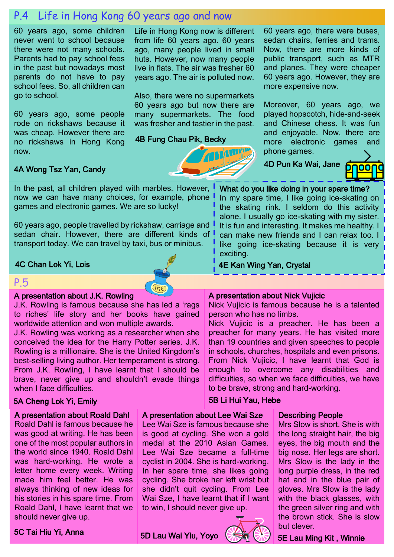# P.4 Life in Hong Kong 60 years ago and now

60 years ago, some children never went to school because there were not many schools. Parents had to pay school fees in the past but nowadays most parents do not have to pay school fees. So, all children can go to school.

60 years ago, some people rode on rickshaws because it was cheap. However there are no rickshaws in Hong Kong now.

Life in Hong Kong now is different from life 60 years ago. 60 years ago, many people lived in small huts. However, now many people live in flats. The air was fresher 60 years ago. The air is polluted now.

Also, there were no supermarkets 60 years ago but now there are many supermarkets. The food was fresher and tastier in the past.

4B Fung Chau Pik, Becky

 $\sqrt{in\kappa}$ 

60 years ago, there were buses, sedan chairs, ferries and trams. Now, there are more kinds of public transport, such as MTR and planes. They were cheaper 60 years ago. However, they are more expensive now.

Moreover, 60 years ago, we played hopscotch, hide-and-seek and Chinese chess. It was fun and enjoyable. Now, there are more electronic games and phone games.

4D Pun Ka Wai, Jane

What do you like doing in your spare time? In my spare time, I like going ice-skating on the skating rink. I seldom do this activity alone. I usually go ice-skating with my sister. It is fun and interesting. It makes me healthy. I can make new friends and I can relax too. I like going ice-skating because it is very



#### 4A Wong Tsz Yan, Candy

In the past, all children played with marbles. However, I now we can have many choices, for example, phone games and electronic games. We are so lucky!

60 years ago, people travelled by rickshaw, carriage and sedan chair. However, there are different kinds of transport today. We can travel by taxi, bus or minibus.

#### 4C Chan Lok Yi, Lois

#### P.5

## A presentation about J.K. Rowling

J.K. Rowling is famous because she has led a 'rags to riches' life story and her books have gained worldwide attention and won multiple awards.

J.K. Rowling was working as a researcher when she conceived the idea for the Harry Potter series. J.K. Rowling is a millionaire. She is the United Kingdom's best-selling living author. Her temperament is strong. From J.K. Rowling, I have learnt that I should be brave, never give up and shouldn't evade things when I face difficulties.

#### 5A Cheng Lok Yi, Emily

#### A presentation about Roald Dahl

Roald Dahl is famous because he was good at writing. He has been one of the most popular authors in the world since 1940. Roald Dahl was hard-working. He wrote a letter home every week. Writing made him feel better. He was always thinking of new ideas for his stories in his spare time. From Roald Dahl, I have learnt that we should never give up.

A presentation about Lee Wai Sze Lee Wai Sze is famous because she is good at cycling. She won a gold medal at the 2010 Asian Games. Lee Wai Sze became a full-time cyclist in 2004. She is hard-working. In her spare time, she likes going cycling. She broke her left wrist but



#### Describing People

Mrs Slow is short. She is with the long straight hair, the big eyes, the big mouth and the big nose. Her legs are short. Mrs Slow is the lady in the long purple dress, in the red hat and in the blue pair of gloves. Mrs Slow is the lady with the black glasses, with the green silver ring and with the brown stick. She is slow but clever.

5C Tai Hiu Yi, Anna

5D Lau Wai Yiu, Yoyo



5B Li Hui Yau, Hebe

5E Lau Ming Kit , Winnie



4E Kan Wing Yan, Crystal

exciting.

Nick Vujicic is famous because he is a talented person who has no limbs.

Nick Vujicic is a preacher. He has been a preacher for many years. He has visited more than 19 countries and given speeches to people in schools, churches, hospitals and even prisons. From Nick Vujicic, I have learnt that God is enough to overcome any disabilities and difficulties, so when we face difficulties, we have to be brave, strong and hard-working.